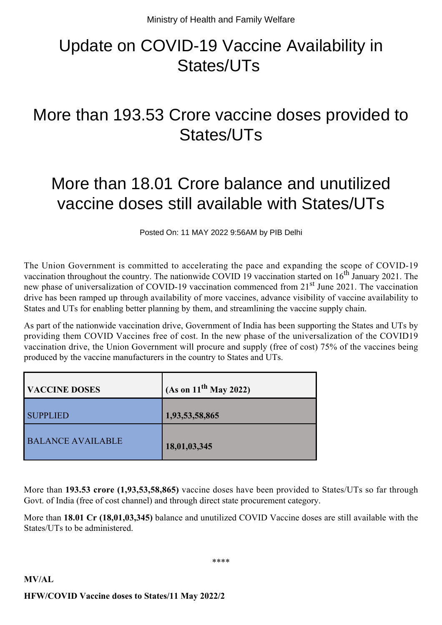## Update on COVID-19 Vaccine Availability in States/UTs

## More than 193.53 Crore vaccine doses provided to States/UTs

## More than 18.01 Crore balance and unutilized vaccine doses still available with States/UTs

Posted On: 11 MAY 2022 9:56AM by PIB Delhi

The Union Government is committed to accelerating the pace and expanding the scope of COVID-19 vaccination throughout the country. The nationwide COVID 19 vaccination started on  $16<sup>th</sup>$  January 2021. The new phase of universalization of COVID-19 vaccination commenced from 21<sup>st</sup> June 2021. The vaccination drive has been ramped up through availability of more vaccines, advance visibility of vaccine availability to States and UTs for enabling better planning by them, and streamlining the vaccine supply chain.

As part of the nationwide vaccination drive, Government of India has been supporting the States and UTs by providing them COVID Vaccines free of cost. In the new phase of the universalization of the COVID19 vaccination drive, the Union Government will procure and supply (free of cost) 75% of the vaccines being produced by the vaccine manufacturers in the country to States and UTs.

| <b>VACCINE DOSES</b>     | $(As \text{ on } 11^{\text{th}} \text{ May } 2022)$ |
|--------------------------|-----------------------------------------------------|
| <b>SUPPLIED</b>          | 1,93,53,58,865                                      |
| <b>BALANCE AVAILABLE</b> | 18,01,03,345                                        |

More than **193.53 crore (1,93,53,58,865)** vaccine doses have been provided to States/UTs so far through Govt. of India (free of cost channel) and through direct state procurement category.

More than **18.01 Cr (18,01,03,345)** balance and unutilized COVID Vaccine doses are still available with the States/UTs to be administered.

\*\*\*\*

## **MV/AL HFW/COVID Vaccine doses to States/11 May 2022/2**